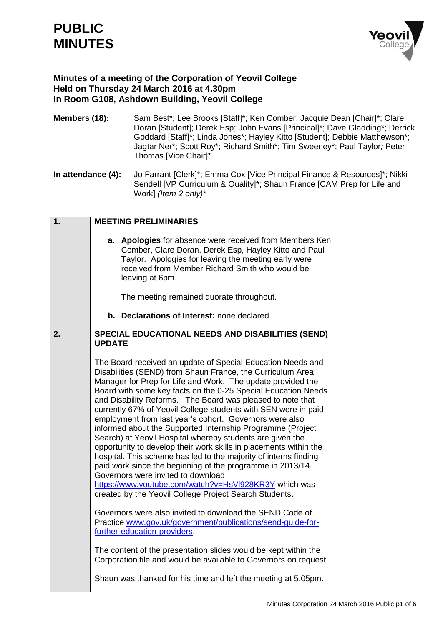# **PUBLIC MINUTES**

**1.**



## **Minutes of a meeting of the Corporation of Yeovil College Held on Thursday 24 March 2016 at 4.30pm In Room G108, Ashdown Building, Yeovil College**

- **Members (18):** Sam Best\*; Lee Brooks [Staff]\*; Ken Comber; Jacquie Dean [Chair]\*; Clare Doran [Student]; Derek Esp; John Evans [Principal]\*; Dave Gladding\*; Derrick Goddard [Staff]\*; Linda Jones\*; Hayley Kitto [Student]; Debbie Matthewson\*; Jagtar Ner\*; Scott Roy\*; Richard Smith\*; Tim Sweeney\*; Paul Taylor*;* Peter Thomas [Vice Chair]\**.*
- **In attendance (4):** Jo Farrant [Clerk]\*; Emma Cox [Vice Principal Finance & Resources]\*; Nikki Sendell [VP Curriculum & Quality]\*; Shaun France [CAM Prep for Life and Work] *(Item 2 only)\**

| <b>MEETING PRELIMINARIES</b>                                                                                                                                                                                                                   |  |
|------------------------------------------------------------------------------------------------------------------------------------------------------------------------------------------------------------------------------------------------|--|
| a. Apologies for absence were received from Members Ken<br>Comber, Clare Doran, Derek Esp, Hayley Kitto and Paul<br>Taylor. Apologies for leaving the meeting early were<br>received from Member Richard Smith who would be<br>leaving at 6pm. |  |
| The meeting remained guarate throughout                                                                                                                                                                                                        |  |

The meeting remained quorate throughout.

**b. Declarations of Interest:** none declared.

#### **2. SPECIAL EDUCATIONAL NEEDS AND DISABILITIES (SEND) UPDATE**

The Board received an update of Special Education Needs and Disabilities (SEND) from Shaun France, the Curriculum Area Manager for Prep for Life and Work. The update provided the Board with some key facts on the 0-25 Special Education Needs and Disability Reforms. The Board was pleased to note that currently 67% of Yeovil College students with SEN were in paid employment from last year's cohort. Governors were also informed about the Supported Internship Programme (Project Search) at Yeovil Hospital whereby students are given the opportunity to develop their work skills in placements within the hospital. This scheme has led to the majority of interns finding paid work since the beginning of the programme in 2013/14. Governors were invited to download <https://www.youtube.com/watch?v=HsVl928KR3Y> which was created by the Yeovil College Project Search Students.

Governors were also invited to download the SEND Code of Practice [www.gov.uk/government/publications/send-guide-for](http://www.gov.uk/government/publications/send-guide-for-further-education-providers)[further-education-providers.](http://www.gov.uk/government/publications/send-guide-for-further-education-providers)

The content of the presentation slides would be kept within the Corporation file and would be available to Governors on request.

Shaun was thanked for his time and left the meeting at 5.05pm.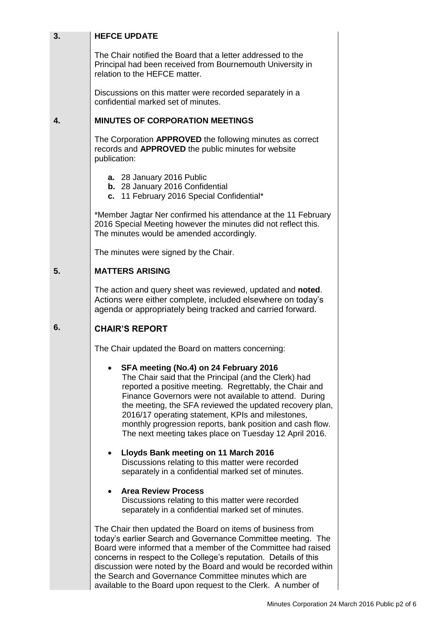| 3. | <b>HEFCE UPDATE</b>                                                                                                                                                                                                                                                                                                                                                                                                                                          |
|----|--------------------------------------------------------------------------------------------------------------------------------------------------------------------------------------------------------------------------------------------------------------------------------------------------------------------------------------------------------------------------------------------------------------------------------------------------------------|
|    | The Chair notified the Board that a letter addressed to the<br>Principal had been received from Bournemouth University in<br>relation to the HEFCE matter.                                                                                                                                                                                                                                                                                                   |
|    | Discussions on this matter were recorded separately in a<br>confidential marked set of minutes.                                                                                                                                                                                                                                                                                                                                                              |
| 4. | <b>MINUTES OF CORPORATION MEETINGS</b>                                                                                                                                                                                                                                                                                                                                                                                                                       |
|    | The Corporation APPROVED the following minutes as correct<br>records and APPROVED the public minutes for website<br>publication:                                                                                                                                                                                                                                                                                                                             |
|    | a. 28 January 2016 Public<br>b. 28 January 2016 Confidential<br>c. 11 February 2016 Special Confidential*                                                                                                                                                                                                                                                                                                                                                    |
|    | *Member Jagtar Ner confirmed his attendance at the 11 February<br>2016 Special Meeting however the minutes did not reflect this.<br>The minutes would be amended accordingly.                                                                                                                                                                                                                                                                                |
|    | The minutes were signed by the Chair.                                                                                                                                                                                                                                                                                                                                                                                                                        |
| 5. | <b>MATTERS ARISING</b>                                                                                                                                                                                                                                                                                                                                                                                                                                       |
|    | The action and query sheet was reviewed, updated and noted.<br>Actions were either complete, included elsewhere on today's<br>agenda or appropriately being tracked and carried forward.                                                                                                                                                                                                                                                                     |
| 6. | <b>CHAIR'S REPORT</b>                                                                                                                                                                                                                                                                                                                                                                                                                                        |
|    | The Chair updated the Board on matters concerning:                                                                                                                                                                                                                                                                                                                                                                                                           |
|    | SFA meeting (No.4) on 24 February 2016<br>The Chair said that the Principal (and the Clerk) had<br>reported a positive meeting. Regrettably, the Chair and<br>Finance Governors were not available to attend. During<br>the meeting, the SFA reviewed the updated recovery plan,<br>2016/17 operating statement, KPIs and milestones,<br>monthly progression reports, bank position and cash flow.<br>The next meeting takes place on Tuesday 12 April 2016. |
|    | Lloyds Bank meeting on 11 March 2016<br>$\bullet$<br>Discussions relating to this matter were recorded<br>separately in a confidential marked set of minutes.                                                                                                                                                                                                                                                                                                |
|    | <b>Area Review Process</b><br>$\bullet$<br>Discussions relating to this matter were recorded<br>separately in a confidential marked set of minutes.                                                                                                                                                                                                                                                                                                          |
|    | The Chair then updated the Board on items of business from<br>today's earlier Search and Governance Committee meeting. The<br>Board were informed that a member of the Committee had raised<br>concerns in respect to the College's reputation. Details of this<br>discussion were noted by the Board and would be recorded within<br>the Search and Governance Committee minutes which are                                                                  |

available to the Board upon request to the Clerk. A number of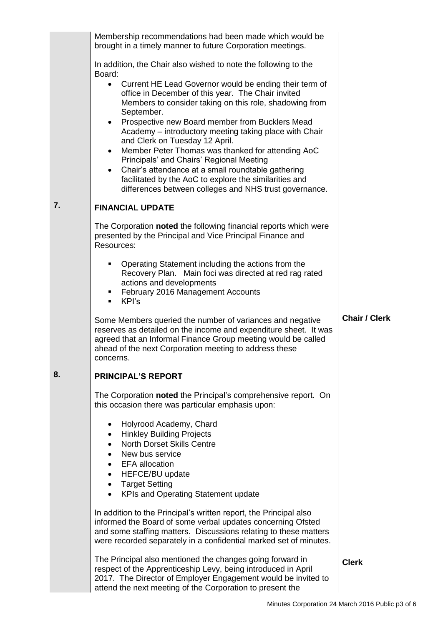|    | Membership recommendations had been made which would be<br>brought in a timely manner to future Corporation meetings.                                                                                                                                                                                                                                                                                                                                           |                      |
|----|-----------------------------------------------------------------------------------------------------------------------------------------------------------------------------------------------------------------------------------------------------------------------------------------------------------------------------------------------------------------------------------------------------------------------------------------------------------------|----------------------|
|    | In addition, the Chair also wished to note the following to the<br>Board:                                                                                                                                                                                                                                                                                                                                                                                       |                      |
|    | Current HE Lead Governor would be ending their term of<br>$\bullet$<br>office in December of this year. The Chair invited<br>Members to consider taking on this role, shadowing from<br>September.<br>Prospective new Board member from Bucklers Mead<br>Academy - introductory meeting taking place with Chair<br>and Clerk on Tuesday 12 April.<br>Member Peter Thomas was thanked for attending AoC<br>$\bullet$<br>Principals' and Chairs' Regional Meeting |                      |
|    | Chair's attendance at a small roundtable gathering<br>$\bullet$<br>facilitated by the AoC to explore the similarities and<br>differences between colleges and NHS trust governance.                                                                                                                                                                                                                                                                             |                      |
| 7. | <b>FINANCIAL UPDATE</b>                                                                                                                                                                                                                                                                                                                                                                                                                                         |                      |
|    | The Corporation noted the following financial reports which were<br>presented by the Principal and Vice Principal Finance and<br>Resources:                                                                                                                                                                                                                                                                                                                     |                      |
|    | Operating Statement including the actions from the<br>٠<br>Recovery Plan. Main foci was directed at red rag rated<br>actions and developments<br>February 2016 Management Accounts<br>٠<br>KPI's<br>$\mathbf{r}$                                                                                                                                                                                                                                                |                      |
|    | Some Members queried the number of variances and negative<br>reserves as detailed on the income and expenditure sheet. It was<br>agreed that an Informal Finance Group meeting would be called<br>ahead of the next Corporation meeting to address these<br>concerns.                                                                                                                                                                                           | <b>Chair / Clerk</b> |
| 8. | <b>PRINCIPAL'S REPORT</b>                                                                                                                                                                                                                                                                                                                                                                                                                                       |                      |
|    | The Corporation noted the Principal's comprehensive report. On<br>this occasion there was particular emphasis upon:                                                                                                                                                                                                                                                                                                                                             |                      |
|    | Holyrood Academy, Chard<br>$\bullet$                                                                                                                                                                                                                                                                                                                                                                                                                            |                      |
|    | <b>Hinkley Building Projects</b><br>٠<br><b>North Dorset Skills Centre</b>                                                                                                                                                                                                                                                                                                                                                                                      |                      |
|    | New bus service                                                                                                                                                                                                                                                                                                                                                                                                                                                 |                      |
|    | <b>EFA</b> allocation<br>HEFCE/BU update                                                                                                                                                                                                                                                                                                                                                                                                                        |                      |
|    | <b>Target Setting</b><br>$\bullet$                                                                                                                                                                                                                                                                                                                                                                                                                              |                      |
|    | KPIs and Operating Statement update                                                                                                                                                                                                                                                                                                                                                                                                                             |                      |
|    | In addition to the Principal's written report, the Principal also<br>informed the Board of some verbal updates concerning Ofsted<br>and some staffing matters. Discussions relating to these matters<br>were recorded separately in a confidential marked set of minutes.                                                                                                                                                                                       |                      |
|    | The Principal also mentioned the changes going forward in<br>respect of the Apprenticeship Levy, being introduced in April<br>2017. The Director of Employer Engagement would be invited to<br>attend the next meeting of the Corporation to present the                                                                                                                                                                                                        | <b>Clerk</b>         |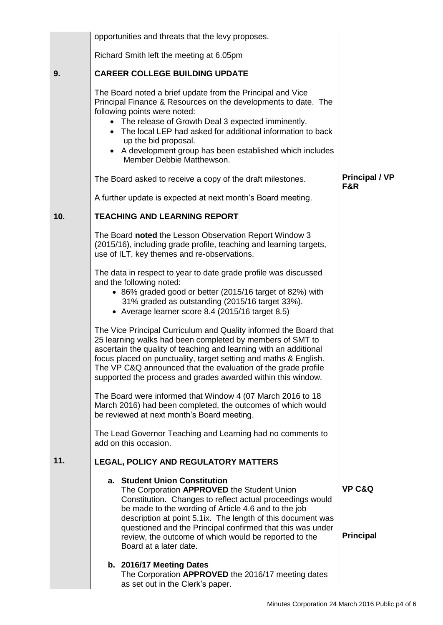|     | opportunities and threats that the levy proposes.                                                                                                                                                                                                                                                                                                                                                                |                                       |
|-----|------------------------------------------------------------------------------------------------------------------------------------------------------------------------------------------------------------------------------------------------------------------------------------------------------------------------------------------------------------------------------------------------------------------|---------------------------------------|
|     | Richard Smith left the meeting at 6.05pm                                                                                                                                                                                                                                                                                                                                                                         |                                       |
| 9.  | <b>CAREER COLLEGE BUILDING UPDATE</b>                                                                                                                                                                                                                                                                                                                                                                            |                                       |
|     | The Board noted a brief update from the Principal and Vice<br>Principal Finance & Resources on the developments to date. The<br>following points were noted:<br>• The release of Growth Deal 3 expected imminently.<br>The local LEP had asked for additional information to back<br>up the bid proposal.<br>A development group has been established which includes<br>Member Debbie Matthewson.                |                                       |
|     | The Board asked to receive a copy of the draft milestones.                                                                                                                                                                                                                                                                                                                                                       | <b>Principal / VP</b><br>F&R          |
|     | A further update is expected at next month's Board meeting.                                                                                                                                                                                                                                                                                                                                                      |                                       |
| 10. | <b>TEACHING AND LEARNING REPORT</b>                                                                                                                                                                                                                                                                                                                                                                              |                                       |
|     | The Board noted the Lesson Observation Report Window 3<br>(2015/16), including grade profile, teaching and learning targets,<br>use of ILT, key themes and re-observations.                                                                                                                                                                                                                                      |                                       |
|     | The data in respect to year to date grade profile was discussed<br>and the following noted:<br>• 86% graded good or better (2015/16 target of 82%) with<br>31% graded as outstanding (2015/16 target 33%).                                                                                                                                                                                                       |                                       |
|     | • Average learner score 8.4 (2015/16 target 8.5)                                                                                                                                                                                                                                                                                                                                                                 |                                       |
|     | The Vice Principal Curriculum and Quality informed the Board that<br>25 learning walks had been completed by members of SMT to<br>ascertain the quality of teaching and learning with an additional<br>focus placed on punctuality, target setting and maths & English.<br>The VP C&Q announced that the evaluation of the grade profile<br>supported the process and grades awarded within this window.         |                                       |
|     | The Board were informed that Window 4 (07 March 2016 to 18<br>March 2016) had been completed, the outcomes of which would<br>be reviewed at next month's Board meeting.                                                                                                                                                                                                                                          |                                       |
|     | The Lead Governor Teaching and Learning had no comments to<br>add on this occasion.                                                                                                                                                                                                                                                                                                                              |                                       |
| 11. | LEGAL, POLICY AND REGULATORY MATTERS                                                                                                                                                                                                                                                                                                                                                                             |                                       |
|     | a. Student Union Constitution<br>The Corporation APPROVED the Student Union<br>Constitution. Changes to reflect actual proceedings would<br>be made to the wording of Article 4.6 and to the job<br>description at point 5.1ix. The length of this document was<br>questioned and the Principal confirmed that this was under<br>review, the outcome of which would be reported to the<br>Board at a later date. | <b>VP C&amp;Q</b><br><b>Principal</b> |
|     | b. 2016/17 Meeting Dates<br>The Corporation APPROVED the 2016/17 meeting dates<br>as set out in the Clerk's paper.                                                                                                                                                                                                                                                                                               |                                       |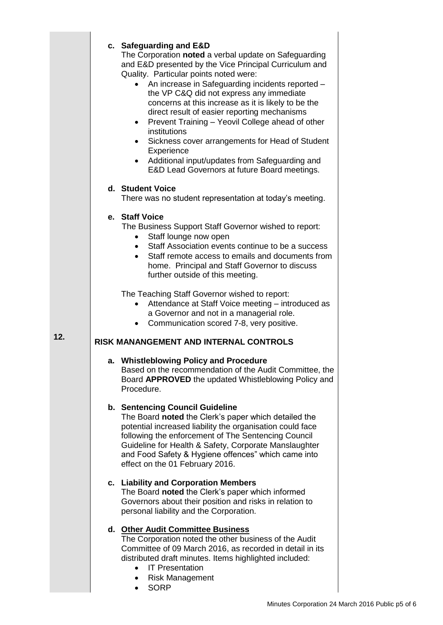|    | c. Safeguarding and E&D<br>The Corporation noted a verbal update on Safeguarding<br>and E&D presented by the Vice Principal Curriculum and<br>Quality. Particular points noted were:<br>An increase in Safeguarding incidents reported -<br>the VP C&Q did not express any immediate<br>concerns at this increase as it is likely to be the<br>direct result of easier reporting mechanisms<br>Prevent Training - Yeovil College ahead of other<br>institutions<br>Sickness cover arrangements for Head of Student<br>Experience<br>Additional input/updates from Safeguarding and<br>E&D Lead Governors at future Board meetings. |
|----|------------------------------------------------------------------------------------------------------------------------------------------------------------------------------------------------------------------------------------------------------------------------------------------------------------------------------------------------------------------------------------------------------------------------------------------------------------------------------------------------------------------------------------------------------------------------------------------------------------------------------------|
|    | d. Student Voice<br>There was no student representation at today's meeting.                                                                                                                                                                                                                                                                                                                                                                                                                                                                                                                                                        |
|    | e. Staff Voice<br>The Business Support Staff Governor wished to report:<br>Staff lounge now open<br>Staff Association events continue to be a success<br>Staff remote access to emails and documents from<br>home. Principal and Staff Governor to discuss<br>further outside of this meeting.                                                                                                                                                                                                                                                                                                                                     |
|    | The Teaching Staff Governor wished to report:<br>Attendance at Staff Voice meeting - introduced as<br>a Governor and not in a managerial role.<br>Communication scored 7-8, very positive.                                                                                                                                                                                                                                                                                                                                                                                                                                         |
|    | <b>RISK MANANGEMENT AND INTERNAL CONTROLS</b>                                                                                                                                                                                                                                                                                                                                                                                                                                                                                                                                                                                      |
|    | a. Whistleblowing Policy and Procedure<br>Based on the recommendation of the Audit Committee, the<br>Board APPROVED the updated Whistleblowing Policy and<br>Procedure.                                                                                                                                                                                                                                                                                                                                                                                                                                                            |
|    | b. Sentencing Council Guideline<br>The Board noted the Clerk's paper which detailed the<br>potential increased liability the organisation could face<br>following the enforcement of The Sentencing Council<br>Guideline for Health & Safety, Corporate Manslaughter<br>and Food Safety & Hygiene offences" which came into<br>effect on the 01 February 2016.                                                                                                                                                                                                                                                                     |
|    | c. Liability and Corporation Members<br>The Board noted the Clerk's paper which informed<br>Governors about their position and risks in relation to<br>personal liability and the Corporation.                                                                                                                                                                                                                                                                                                                                                                                                                                     |
| d. | <b>Other Audit Committee Business</b><br>The Corporation noted the other business of the Audit<br>Committee of 09 March 2016, as recorded in detail in its<br>distributed draft minutes. Items highlighted included:<br><b>IT Presentation</b><br><b>Risk Management</b><br><b>SORP</b>                                                                                                                                                                                                                                                                                                                                            |

• SORP

**12.**